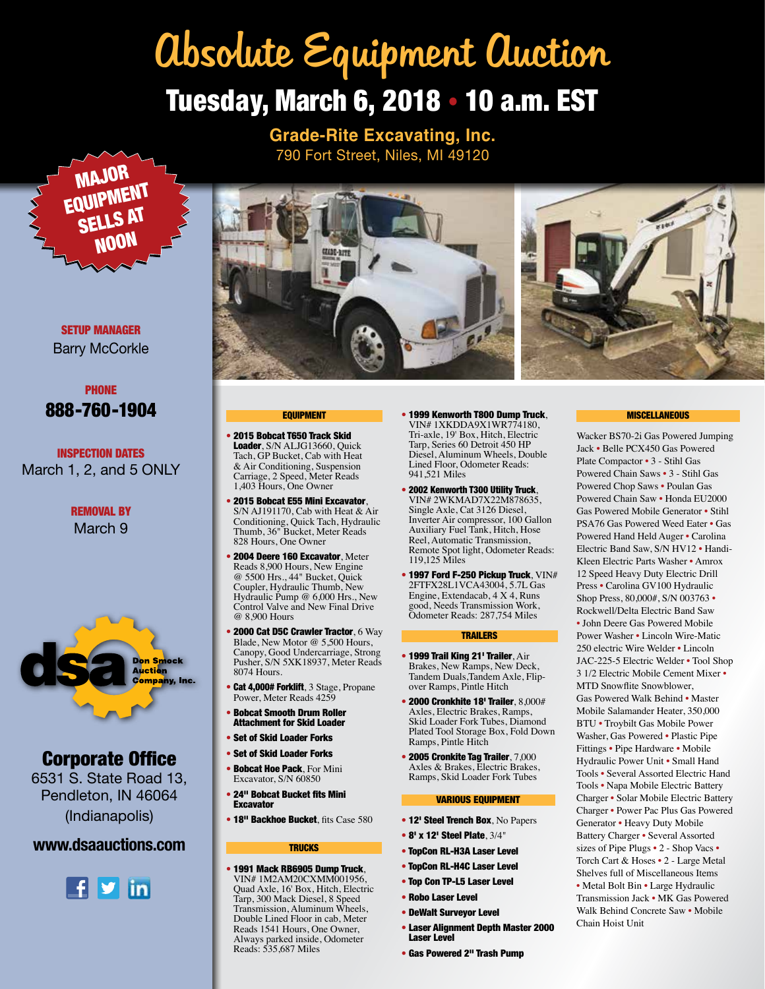# Tuesday, March 6, 2018 • 10 a.m. EST Absolute Equipment Auction

**Grade-Rite Excavating, Inc.** 790 Fort Street, Niles, MI 49120



SETUP MANAGER Barry McCorkle



INSPECTION DATES March 1, 2, and 5 ONLY

> REMOVAL BY March 9



# Corporate Office

6531 S. State Road 13, Pendleton, IN 46064 (Indianapolis)

## **www.dsaauctions.com**





## EQUIPMENT

- 2015 Bobcat T650 Track Skid Loader, S/N ALJG13660, Quick Tach, GP Bucket, Cab with Heat & Air Conditioning, Suspension Carriage, 2 Speed, Meter Reads 1,403 Hours, One Owner
- 2015 Bobcat E55 Mini Excavator, S/N AJ191170, Cab with Heat & Air Conditioning, Quick Tach, Hydraulic Thumb, 36" Bucket, Meter Reads 828 Hours, One Owner
- 2004 Deere 160 Excavator, Meter Reads 8,900 Hours, New Engine @ 5500 Hrs., 44" Bucket, Quick Coupler, Hydraulic Thumb, New Hydraulic Pump @ 6,000 Hrs., New Control Valve and New Final Drive @ 8,900 Hours
- 2000 Cat D5C Crawler Tractor, 6 Way Blade, New Motor @ 5,500 Hours, Canopy, Good Undercarriage, Strong Pusher, S/N 5XK18937, Meter Reads 8074 Hours.
- Cat 4,000# Forklift, 3 Stage, Propane Power, Meter Reads 4259
- Bobcat Smooth Drum Roller Attachment for Skid Loader
- **Set of Skid Loader Forks**
- Set of Skid Loader Forks
- Bobcat Hoe Pack, For Mini Excavator, S/N 60850
- 24" Bobcat Bucket fits Mini **Excavator**
- 18" Backhoe Bucket, fits Case 580

### **TRUCKS**

• 1991 Mack RB6905 Dump Truck, VIN# 1M2AM20CXMM001956, Quad Axle, 16' Box, Hitch, Electric Tarp, 300 Mack Diesel, 8 Speed Transmission, Aluminum Wheels, Double Lined Floor in cab, Meter Reads 1541 Hours, One Owner, Always parked inside, Odometer Reads: 535,687 Miles

- 1999 Kenworth T800 Dump Truck, VIN# 1XKDDA9X1WR774180, Tri-axle, 19' Box, Hitch, Electric Tarp, Series 60 Detroit 450 HP Diesel, Aluminum Wheels, Double Lined Floor, Odometer Reads: 941,521 Miles
- 2002 Kenworth T300 Utility Truck, VIN# 2WKMAD7X22M878635, Single Axle, Cat 3126 Diesel, Inverter Air compressor, 100 Gallon Auxiliary Fuel Tank, Hitch, Hose Reel, Automatic Transmission, Remote Spot light, Odometer Reads: 119,125 Miles
- 1997 Ford F-250 Pickup Truck, VIN# 2FTFX28L1VCA43004, 5.7L Gas Engine, Extendacab, 4 X 4, Runs good, Needs Transmission Work, Odometer Reads: 287,754 Miles

#### TRAILERS

- 1999 Trail King 21' Trailer, Air Brakes, New Ramps, New Deck, Tandem Duals,Tandem Axle, Flipover Ramps, Pintle Hitch
- $\bullet$  2000 Cronkhite 18' Trailer, 8,000# Axles, Electric Brakes, Ramps, Skid Loader Fork Tubes, Diamond Plated Tool Storage Box, Fold Down Ramps, Pintle Hitch
- 2005 Cronkite Tag Trailer, 7,000 Axles & Brakes, Electric Brakes, Ramps, Skid Loader Fork Tubes

#### VARIOUS EQUIPMENT

- 12' Steel Trench Box, No Papers
- 8' x 12' Steel Plate, 3/4"
- TopCon RL-H3A Laser Level
- TopCon RL-H4C Laser Level
- Top Con TP-L5 Laser Level
- Robo Laser Level
- DeWalt Surveyor Level
- Laser Alignment Depth Master 2000 Laser Level
- Gas Powered 2" Trash Pump

### **MISCELLANEOUS**

Wacker BS70-2i Gas Powered Jumping Jack • Belle PCX450 Gas Powered Plate Compactor • 3 - Stihl Gas Powered Chain Saws • 3 - Stihl Gas Powered Chop Saws • Poulan Gas Powered Chain Saw • Honda EU2000 Gas Powered Mobile Generator • Stihl PSA76 Gas Powered Weed Eater • Gas Powered Hand Held Auger • Carolina Electric Band Saw, S/N HV12 • Handi-Kleen Electric Parts Washer • Amrox 12 Speed Heavy Duty Electric Drill Press • Carolina GV100 Hydraulic Shop Press, 80,000#, S/N 003763 • Rockwell/Delta Electric Band Saw • John Deere Gas Powered Mobile Power Washer • Lincoln Wire-Matic 250 electric Wire Welder • Lincoln JAC-225-5 Electric Welder • Tool Shop 3 1/2 Electric Mobile Cement Mixer • MTD Snowflite Snowblower, Gas Powered Walk Behind • Master Mobile Salamander Heater, 350,000 BTU • Troybilt Gas Mobile Power Washer, Gas Powered • Plastic Pipe Fittings • Pipe Hardware • Mobile Hydraulic Power Unit • Small Hand Tools • Several Assorted Electric Hand Tools • Napa Mobile Electric Battery Charger • Solar Mobile Electric Battery Charger • Power Pac Plus Gas Powered Generator • Heavy Duty Mobile Battery Charger • Several Assorted sizes of Pipe Plugs • 2 - Shop Vacs • Torch Cart & Hoses • 2 - Large Metal Shelves full of Miscellaneous Items • Metal Bolt Bin • Large Hydraulic Transmission Jack • MK Gas Powered Walk Behind Concrete Saw • Mobile Chain Hoist Unit